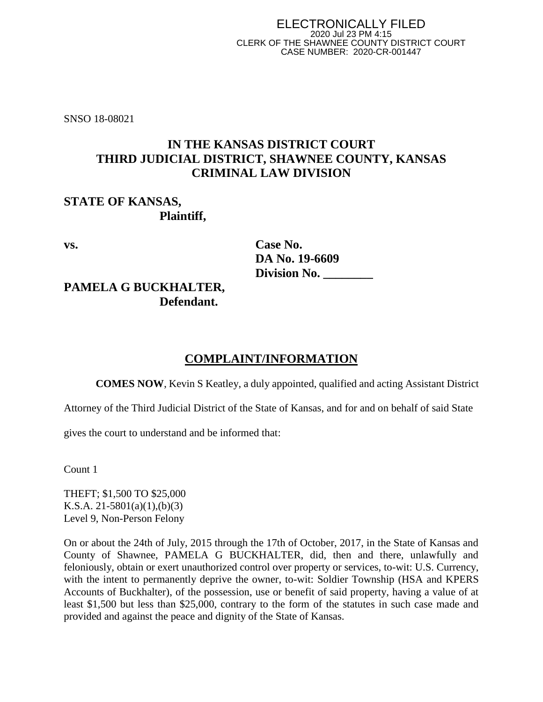SNSO 18-08021

# **IN THE KANSAS DISTRICT COURT THIRD JUDICIAL DISTRICT, SHAWNEE COUNTY, KANSAS CRIMINAL LAW DIVISION**

### **STATE OF KANSAS, Plaintiff,**

| Case No.            |
|---------------------|
| DA No. 19-6609      |
| <b>Division No.</b> |
|                     |

# **PAMELA G BUCKHALTER, Defendant.**

# **COMPLAINT/INFORMATION**

**COMES NOW**, Kevin S Keatley, a duly appointed, qualified and acting Assistant District

Attorney of the Third Judicial District of the State of Kansas, and for and on behalf of said State

gives the court to understand and be informed that:

Count 1

THEFT; \$1,500 TO \$25,000 K.S.A. 21-5801(a)(1),(b)(3) Level 9, Non-Person Felony

On or about the 24th of July, 2015 through the 17th of October, 2017, in the State of Kansas and County of Shawnee, PAMELA G BUCKHALTER, did, then and there, unlawfully and feloniously, obtain or exert unauthorized control over property or services, to-wit: U.S. Currency, with the intent to permanently deprive the owner, to-wit: Soldier Township (HSA and KPERS Accounts of Buckhalter), of the possession, use or benefit of said property, having a value of at least \$1,500 but less than \$25,000, contrary to the form of the statutes in such case made and provided and against the peace and dignity of the State of Kansas.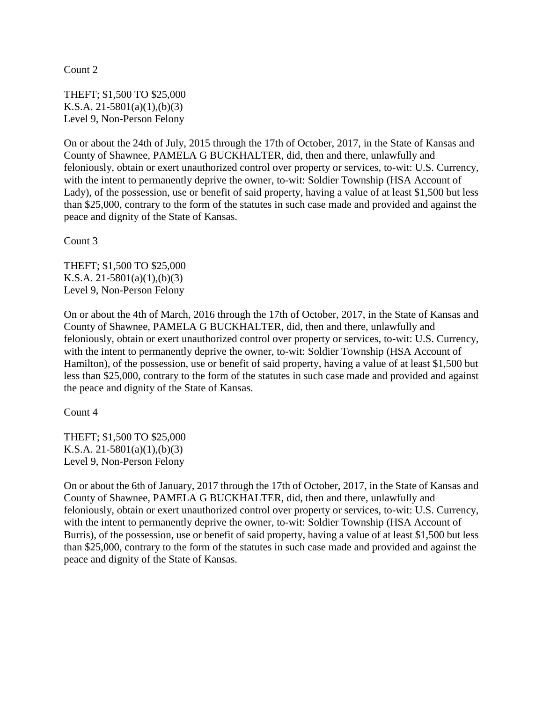Count 2

THEFT; \$1,500 TO \$25,000 K.S.A. 21-5801(a)(1),(b)(3) Level 9, Non-Person Felony

On or about the 24th of July, 2015 through the 17th of October, 2017, in the State of Kansas and County of Shawnee, PAMELA G BUCKHALTER, did, then and there, unlawfully and feloniously, obtain or exert unauthorized control over property or services, to-wit: U.S. Currency, with the intent to permanently deprive the owner, to-wit: Soldier Township (HSA Account of Lady), of the possession, use or benefit of said property, having a value of at least \$1,500 but less than \$25,000, contrary to the form of the statutes in such case made and provided and against the peace and dignity of the State of Kansas.

Count 3

THEFT; \$1,500 TO \$25,000 K.S.A. 21-5801(a)(1),(b)(3) Level 9, Non-Person Felony

On or about the 4th of March, 2016 through the 17th of October, 2017, in the State of Kansas and County of Shawnee, PAMELA G BUCKHALTER, did, then and there, unlawfully and feloniously, obtain or exert unauthorized control over property or services, to-wit: U.S. Currency, with the intent to permanently deprive the owner, to-wit: Soldier Township (HSA Account of Hamilton), of the possession, use or benefit of said property, having a value of at least \$1,500 but less than \$25,000, contrary to the form of the statutes in such case made and provided and against the peace and dignity of the State of Kansas.

Count 4

THEFT; \$1,500 TO \$25,000 K.S.A. 21-5801(a)(1),(b)(3) Level 9, Non-Person Felony

On or about the 6th of January, 2017 through the 17th of October, 2017, in the State of Kansas and County of Shawnee, PAMELA G BUCKHALTER, did, then and there, unlawfully and feloniously, obtain or exert unauthorized control over property or services, to-wit: U.S. Currency, with the intent to permanently deprive the owner, to-wit: Soldier Township (HSA Account of Burris), of the possession, use or benefit of said property, having a value of at least \$1,500 but less than \$25,000, contrary to the form of the statutes in such case made and provided and against the peace and dignity of the State of Kansas.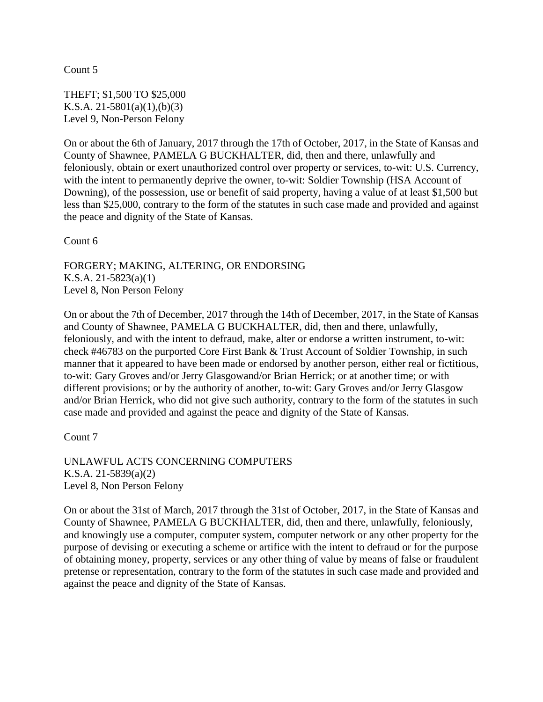Count 5

THEFT; \$1,500 TO \$25,000 K.S.A. 21-5801(a)(1),(b)(3) Level 9, Non-Person Felony

On or about the 6th of January, 2017 through the 17th of October, 2017, in the State of Kansas and County of Shawnee, PAMELA G BUCKHALTER, did, then and there, unlawfully and feloniously, obtain or exert unauthorized control over property or services, to-wit: U.S. Currency, with the intent to permanently deprive the owner, to-wit: Soldier Township (HSA Account of Downing), of the possession, use or benefit of said property, having a value of at least \$1,500 but less than \$25,000, contrary to the form of the statutes in such case made and provided and against the peace and dignity of the State of Kansas.

Count 6

FORGERY; MAKING, ALTERING, OR ENDORSING K.S.A. 21-5823(a)(1) Level 8, Non Person Felony

On or about the 7th of December, 2017 through the 14th of December, 2017, in the State of Kansas and County of Shawnee, PAMELA G BUCKHALTER, did, then and there, unlawfully, feloniously, and with the intent to defraud, make, alter or endorse a written instrument, to-wit: check #46783 on the purported Core First Bank & Trust Account of Soldier Township, in such manner that it appeared to have been made or endorsed by another person, either real or fictitious, to-wit: Gary Groves and/or Jerry Glasgowand/or Brian Herrick; or at another time; or with different provisions; or by the authority of another, to-wit: Gary Groves and/or Jerry Glasgow and/or Brian Herrick, who did not give such authority, contrary to the form of the statutes in such case made and provided and against the peace and dignity of the State of Kansas.

Count 7

UNLAWFUL ACTS CONCERNING COMPUTERS K.S.A. 21-5839(a)(2) Level 8, Non Person Felony

On or about the 31st of March, 2017 through the 31st of October, 2017, in the State of Kansas and County of Shawnee, PAMELA G BUCKHALTER, did, then and there, unlawfully, feloniously, and knowingly use a computer, computer system, computer network or any other property for the purpose of devising or executing a scheme or artifice with the intent to defraud or for the purpose of obtaining money, property, services or any other thing of value by means of false or fraudulent pretense or representation, contrary to the form of the statutes in such case made and provided and against the peace and dignity of the State of Kansas.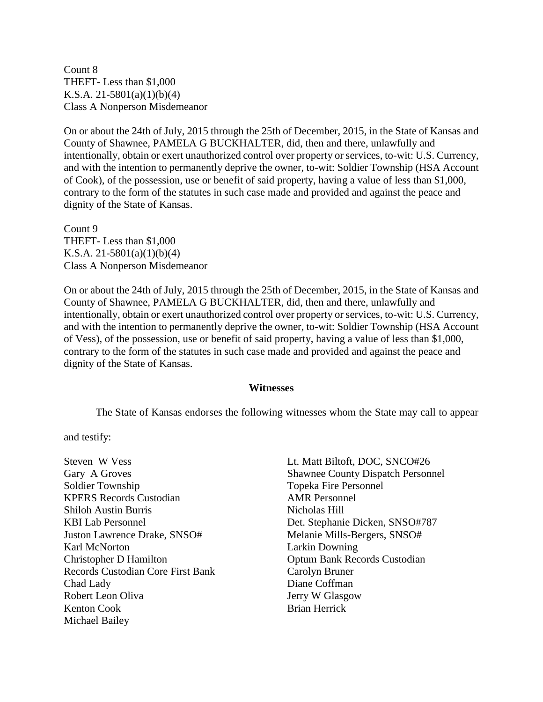Count 8 THEFT- Less than \$1,000 K.S.A. 21-5801(a)(1)(b)(4) Class A Nonperson Misdemeanor

On or about the 24th of July, 2015 through the 25th of December, 2015, in the State of Kansas and County of Shawnee, PAMELA G BUCKHALTER, did, then and there, unlawfully and intentionally, obtain or exert unauthorized control over property or services, to-wit: U.S. Currency, and with the intention to permanently deprive the owner, to-wit: Soldier Township (HSA Account of Cook), of the possession, use or benefit of said property, having a value of less than \$1,000, contrary to the form of the statutes in such case made and provided and against the peace and dignity of the State of Kansas.

Count 9 THEFT- Less than \$1,000 K.S.A. 21-5801(a)(1)(b)(4) Class A Nonperson Misdemeanor

On or about the 24th of July, 2015 through the 25th of December, 2015, in the State of Kansas and County of Shawnee, PAMELA G BUCKHALTER, did, then and there, unlawfully and intentionally, obtain or exert unauthorized control over property or services, to-wit: U.S. Currency, and with the intention to permanently deprive the owner, to-wit: Soldier Township (HSA Account of Vess), of the possession, use or benefit of said property, having a value of less than \$1,000, contrary to the form of the statutes in such case made and provided and against the peace and dignity of the State of Kansas.

#### **Witnesses**

The State of Kansas endorses the following witnesses whom the State may call to appear

and testify:

Steven W Vess Gary A Groves Soldier Township KPERS Records Custodian Shiloh Austin Burris KBI Lab Personnel Juston Lawrence Drake, SNSO# Karl McNorton Christopher D Hamilton Records Custodian Core First Bank Chad Lady Robert Leon Oliva Kenton Cook Michael Bailey

Lt. Matt Biltoft, DOC, SNCO#26 Shawnee County Dispatch Personnel Topeka Fire Personnel AMR Personnel Nicholas Hill Det. Stephanie Dicken, SNSO#787 Melanie Mills-Bergers, SNSO# Larkin Downing Optum Bank Records Custodian Carolyn Bruner Diane Coffman Jerry W Glasgow Brian Herrick